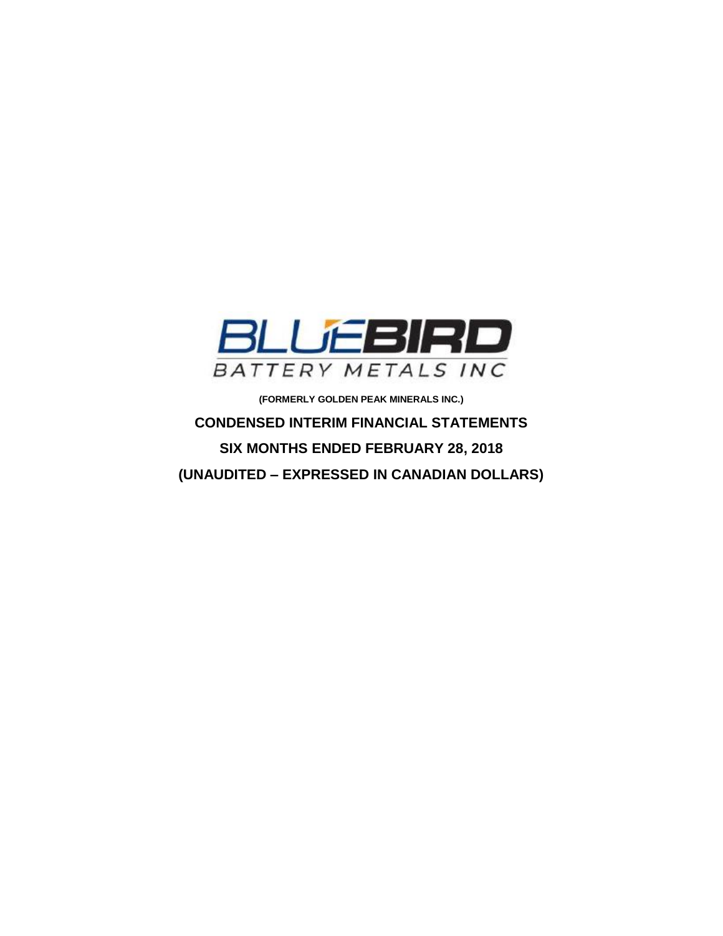

**(FORMERLY GOLDEN PEAK MINERALS INC.)**

**CONDENSED INTERIM FINANCIAL STATEMENTS SIX MONTHS ENDED FEBRUARY 28, 2018 (UNAUDITED – EXPRESSED IN CANADIAN DOLLARS)**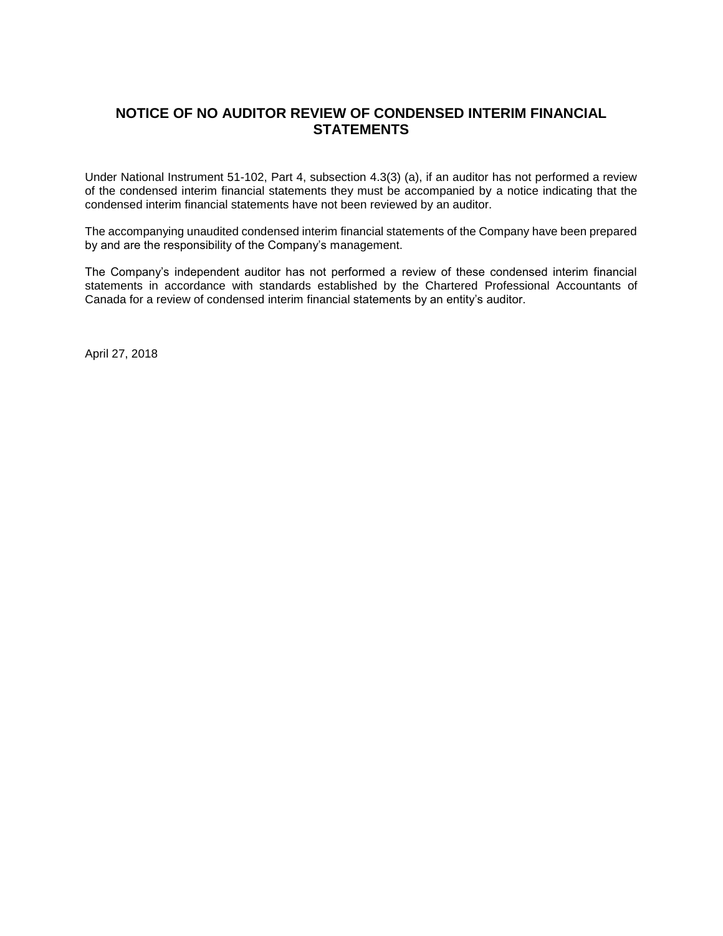# **NOTICE OF NO AUDITOR REVIEW OF CONDENSED INTERIM FINANCIAL STATEMENTS**

Under National Instrument 51-102, Part 4, subsection 4.3(3) (a), if an auditor has not performed a review of the condensed interim financial statements they must be accompanied by a notice indicating that the condensed interim financial statements have not been reviewed by an auditor.

The accompanying unaudited condensed interim financial statements of the Company have been prepared by and are the responsibility of the Company's management.

The Company's independent auditor has not performed a review of these condensed interim financial statements in accordance with standards established by the Chartered Professional Accountants of Canada for a review of condensed interim financial statements by an entity's auditor.

April 27, 2018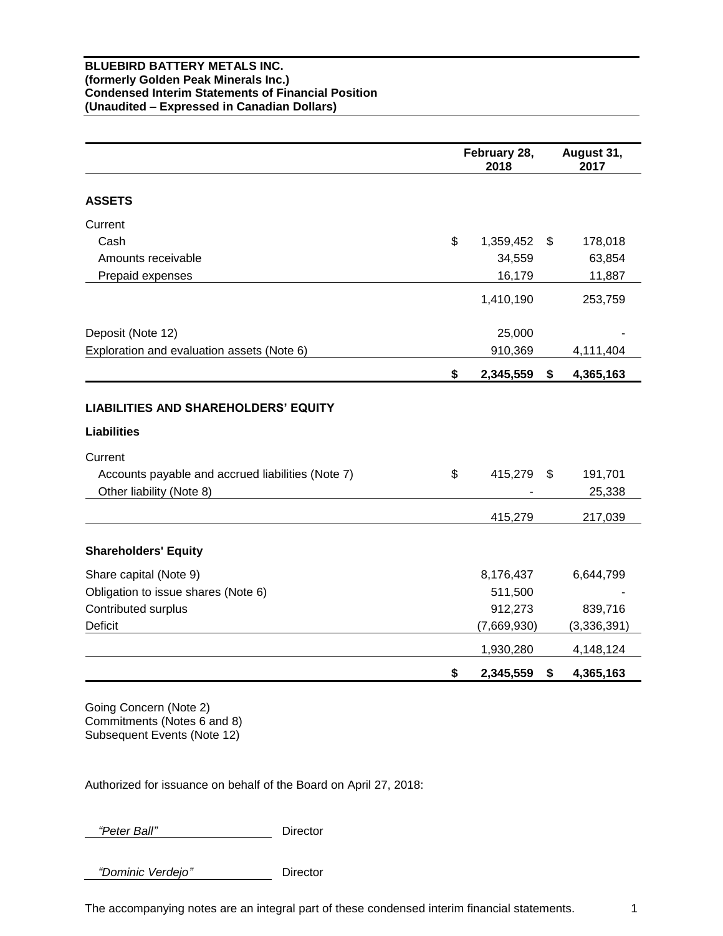### **BLUEBIRD BATTERY METALS INC. (formerly Golden Peak Minerals Inc.) Condensed Interim Statements of Financial Position (Unaudited – Expressed in Canadian Dollars)**

|                                                         | February 28,<br>2018 |     | August 31,<br>2017 |
|---------------------------------------------------------|----------------------|-----|--------------------|
| <b>ASSETS</b>                                           |                      |     |                    |
| Current                                                 |                      |     |                    |
| \$<br>Cash                                              | 1,359,452            | \$  | 178,018            |
| Amounts receivable                                      | 34,559               |     | 63,854             |
| Prepaid expenses                                        | 16,179               |     | 11,887             |
|                                                         | 1,410,190            |     | 253,759            |
| Deposit (Note 12)                                       | 25,000               |     |                    |
| Exploration and evaluation assets (Note 6)              | 910,369              |     | 4,111,404          |
| \$                                                      | 2,345,559            | \$  | 4,365,163          |
| <b>Liabilities</b><br>Current                           |                      |     |                    |
| \$<br>Accounts payable and accrued liabilities (Note 7) | 415,279              | -\$ | 191,701            |
| Other liability (Note 8)                                |                      |     | 25,338             |
|                                                         | 415,279              |     | 217,039            |
| <b>Shareholders' Equity</b>                             |                      |     |                    |
| Share capital (Note 9)                                  | 8,176,437            |     | 6,644,799          |
| Obligation to issue shares (Note 6)                     | 511,500              |     |                    |
| Contributed surplus                                     | 912,273              |     | 839,716            |
| <b>Deficit</b>                                          | (7,669,930)          |     | (3,336,391)        |
|                                                         | 1,930,280            |     | 4,148,124          |
| \$                                                      | 2,345,559            | \$  | 4,365,163          |

Going Concern (Note 2) Commitments (Notes 6 and 8) Subsequent Events (Note 12)

Authorized for issuance on behalf of the Board on April 27, 2018:

 *"Peter Ball"* Director

 *"Dominic Verdejo"* Director

The accompanying notes are an integral part of these condensed interim financial statements. 1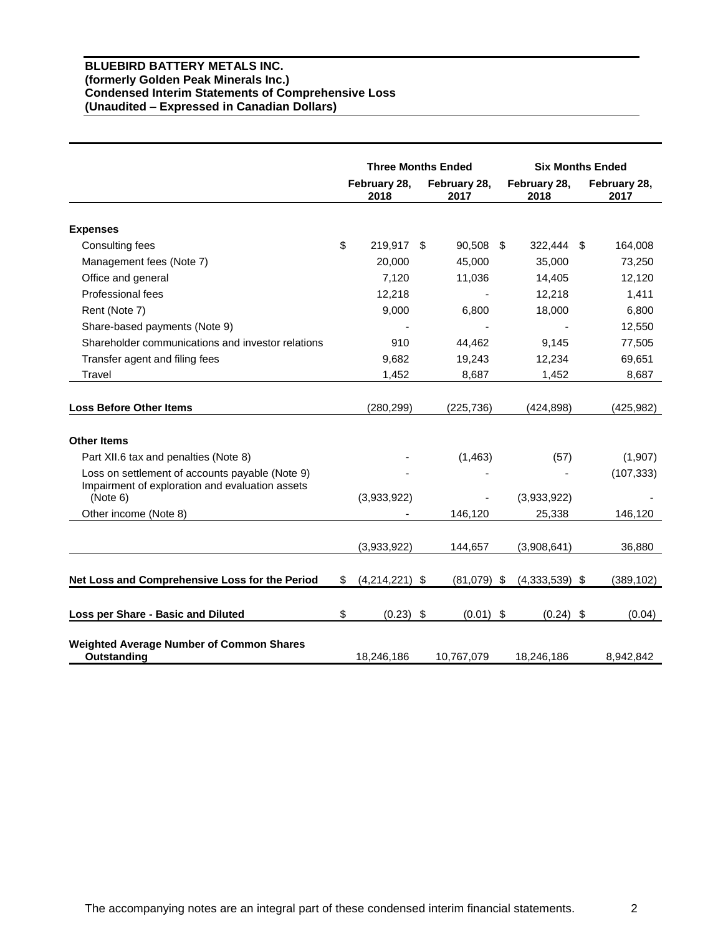### **BLUEBIRD BATTERY METALS INC. (formerly Golden Peak Minerals Inc.) Condensed Interim Statements of Comprehensive Loss (Unaudited – Expressed in Canadian Dollars)**

|                                                                                                                | <b>Three Months Ended</b> |                      |  | <b>Six Months Ended</b> |                      |                      |
|----------------------------------------------------------------------------------------------------------------|---------------------------|----------------------|--|-------------------------|----------------------|----------------------|
|                                                                                                                |                           | February 28,<br>2018 |  | February 28,<br>2017    | February 28,<br>2018 | February 28,<br>2017 |
| <b>Expenses</b>                                                                                                |                           |                      |  |                         |                      |                      |
| Consulting fees                                                                                                | \$                        | 219,917 \$           |  | 90,508 \$               | 322,444 \$           | 164,008              |
| Management fees (Note 7)                                                                                       |                           | 20,000               |  | 45,000                  | 35,000               | 73,250               |
| Office and general                                                                                             |                           | 7,120                |  | 11,036                  | 14,405               | 12,120               |
| Professional fees                                                                                              |                           | 12,218               |  |                         | 12,218               | 1,411                |
| Rent (Note 7)                                                                                                  |                           | 9,000                |  | 6,800                   | 18,000               | 6,800                |
| Share-based payments (Note 9)                                                                                  |                           |                      |  |                         |                      | 12,550               |
| Shareholder communications and investor relations                                                              |                           | 910                  |  | 44,462                  | 9,145                | 77,505               |
| Transfer agent and filing fees                                                                                 |                           | 9,682                |  | 19,243                  | 12,234               | 69,651               |
| Travel                                                                                                         |                           | 1,452                |  | 8,687                   | 1,452                | 8,687                |
| <b>Loss Before Other Items</b>                                                                                 |                           | (280, 299)           |  | (225, 736)              | (424, 898)           | (425, 982)           |
| <b>Other Items</b>                                                                                             |                           |                      |  |                         |                      |                      |
| Part XII.6 tax and penalties (Note 8)                                                                          |                           |                      |  | (1, 463)                | (57)                 | (1,907)              |
| Loss on settlement of accounts payable (Note 9)<br>Impairment of exploration and evaluation assets<br>(Note 6) |                           | (3,933,922)          |  |                         | (3,933,922)          | (107, 333)           |
| Other income (Note 8)                                                                                          |                           |                      |  | 146,120                 | 25.338               | 146,120              |
|                                                                                                                |                           | (3,933,922)          |  | 144,657                 | (3,908,641)          | 36,880               |
| Net Loss and Comprehensive Loss for the Period                                                                 | \$                        | $(4,214,221)$ \$     |  | $(81,079)$ \$           | $(4,333,539)$ \$     | (389, 102)           |
| Loss per Share - Basic and Diluted                                                                             | \$                        | $(0.23)$ \$          |  | $(0.01)$ \$             | $(0.24)$ \$          | (0.04)               |
| <b>Weighted Average Number of Common Shares</b><br>Outstanding                                                 |                           | 18,246,186           |  | 10,767,079              | 18,246,186           | 8,942,842            |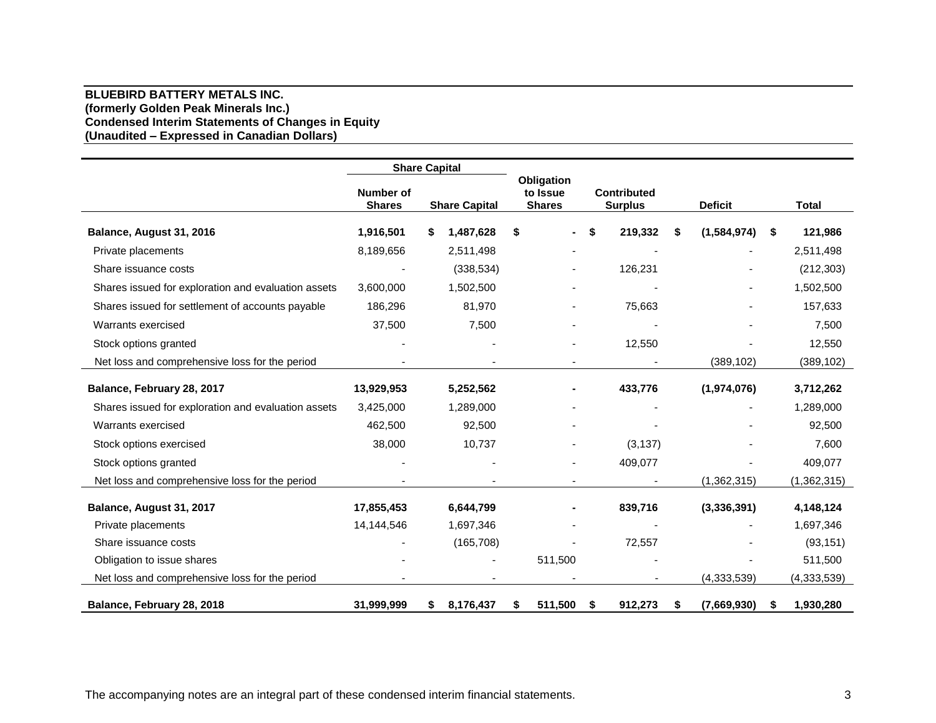### **BLUEBIRD BATTERY METALS INC. (formerly Golden Peak Minerals Inc.) Condensed Interim Statements of Changes in Equity (Unaudited – Expressed in Canadian Dollars)**

|                                                     | <b>Share Capital</b>              |    |                      |   |                                         |    |                                      |     |                |    |               |
|-----------------------------------------------------|-----------------------------------|----|----------------------|---|-----------------------------------------|----|--------------------------------------|-----|----------------|----|---------------|
|                                                     | <b>Number of</b><br><b>Shares</b> |    | <b>Share Capital</b> |   | Obligation<br>to Issue<br><b>Shares</b> |    | <b>Contributed</b><br><b>Surplus</b> |     | <b>Deficit</b> |    | <b>Total</b>  |
| Balance, August 31, 2016                            | 1,916,501                         | S. | 1,487,628            | S |                                         | S. | 219,332                              | -SS | (1,584,974)    | S. | 121,986       |
| Private placements                                  | 8,189,656                         |    | 2,511,498            |   |                                         |    |                                      |     |                |    | 2,511,498     |
| Share issuance costs                                |                                   |    | (338, 534)           |   |                                         |    | 126,231                              |     |                |    | (212, 303)    |
| Shares issued for exploration and evaluation assets | 3,600,000                         |    | 1,502,500            |   |                                         |    |                                      |     |                |    | 1,502,500     |
| Shares issued for settlement of accounts payable    | 186,296                           |    | 81,970               |   |                                         |    | 75,663                               |     |                |    | 157,633       |
| Warrants exercised                                  | 37,500                            |    | 7,500                |   |                                         |    |                                      |     |                |    | 7,500         |
| Stock options granted                               |                                   |    |                      |   |                                         |    | 12,550                               |     |                |    | 12,550        |
| Net loss and comprehensive loss for the period      |                                   |    |                      |   |                                         |    |                                      |     | (389, 102)     |    | (389, 102)    |
| Balance, February 28, 2017                          | 13,929,953                        |    | 5,252,562            |   |                                         |    | 433,776                              |     | (1,974,076)    |    | 3,712,262     |
| Shares issued for exploration and evaluation assets | 3,425,000                         |    | 1,289,000            |   |                                         |    |                                      |     |                |    | 1,289,000     |
| Warrants exercised                                  | 462,500                           |    | 92,500               |   |                                         |    |                                      |     |                |    | 92,500        |
| Stock options exercised                             | 38,000                            |    | 10,737               |   |                                         |    | (3, 137)                             |     |                |    | 7,600         |
| Stock options granted                               |                                   |    |                      |   |                                         |    | 409,077                              |     |                |    | 409,077       |
| Net loss and comprehensive loss for the period      |                                   |    |                      |   |                                         |    |                                      |     | (1,362,315)    |    | (1,362,315)   |
| Balance, August 31, 2017                            | 17,855,453                        |    | 6,644,799            |   |                                         |    | 839,716                              |     | (3,336,391)    |    | 4,148,124     |
| Private placements                                  | 14,144,546                        |    | 1,697,346            |   |                                         |    |                                      |     |                |    | 1,697,346     |
| Share issuance costs                                |                                   |    | (165, 708)           |   |                                         |    | 72,557                               |     |                |    | (93, 151)     |
| Obligation to issue shares                          |                                   |    |                      |   | 511,500                                 |    |                                      |     |                |    | 511,500       |
| Net loss and comprehensive loss for the period      |                                   |    |                      |   |                                         |    |                                      |     | (4, 333, 539)  |    | (4, 333, 539) |
| Balance, February 28, 2018                          | 31,999,999                        | S. | 8,176,437            | S | 511,500                                 | \$ | 912,273                              | S   | (7,669,930)    | S  | 1,930,280     |

The accompanying notes are an integral part of these condensed interim financial statements. 3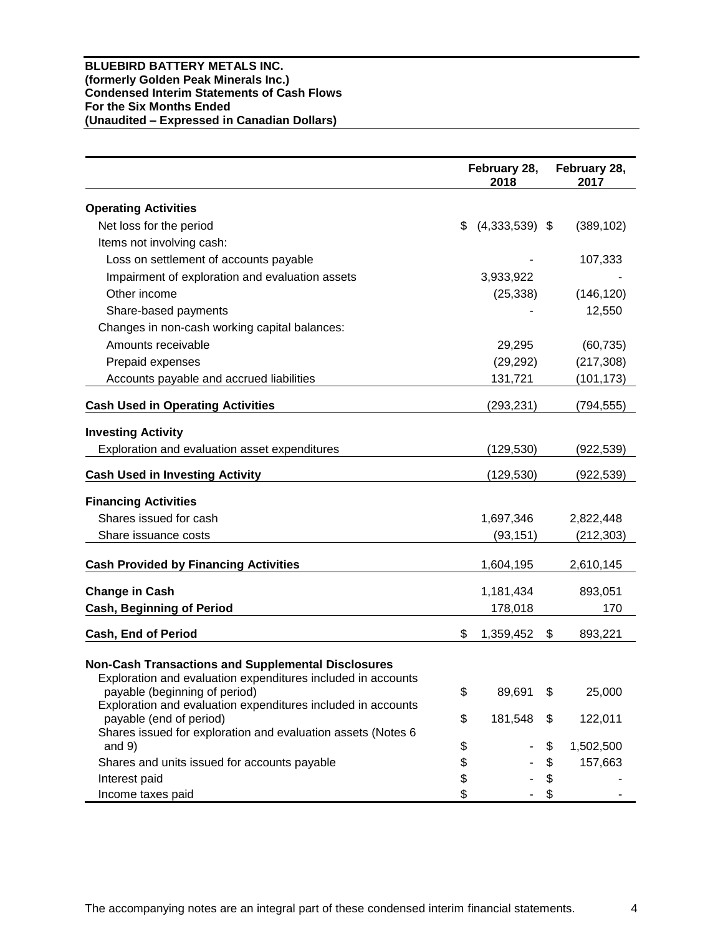### **BLUEBIRD BATTERY METALS INC. (formerly Golden Peak Minerals Inc.) Condensed Interim Statements of Cash Flows For the Six Months Ended (Unaudited – Expressed in Canadian Dollars)**

|                                                                                                                           | February 28,<br>2018   | February 28,<br>2017 |
|---------------------------------------------------------------------------------------------------------------------------|------------------------|----------------------|
| <b>Operating Activities</b>                                                                                               |                        |                      |
| Net loss for the period                                                                                                   | \$<br>$(4,333,539)$ \$ | (389, 102)           |
| Items not involving cash:                                                                                                 |                        |                      |
| Loss on settlement of accounts payable                                                                                    |                        | 107,333              |
| Impairment of exploration and evaluation assets                                                                           | 3,933,922              |                      |
| Other income                                                                                                              | (25, 338)              | (146, 120)           |
| Share-based payments                                                                                                      |                        | 12,550               |
| Changes in non-cash working capital balances:                                                                             |                        |                      |
| Amounts receivable                                                                                                        | 29,295                 | (60, 735)            |
| Prepaid expenses                                                                                                          | (29, 292)              | (217, 308)           |
| Accounts payable and accrued liabilities                                                                                  | 131,721                | (101, 173)           |
| <b>Cash Used in Operating Activities</b>                                                                                  | (293, 231)             | (794,555)            |
| <b>Investing Activity</b>                                                                                                 |                        |                      |
| Exploration and evaluation asset expenditures                                                                             | (129, 530)             | (922, 539)           |
| <b>Cash Used in Investing Activity</b>                                                                                    | (129, 530)             | (922, 539)           |
| <b>Financing Activities</b>                                                                                               |                        |                      |
| Shares issued for cash                                                                                                    | 1,697,346              | 2,822,448            |
| Share issuance costs                                                                                                      | (93, 151)              | (212, 303)           |
| <b>Cash Provided by Financing Activities</b>                                                                              | 1,604,195              | 2,610,145            |
| <b>Change in Cash</b>                                                                                                     | 1,181,434              | 893,051              |
| <b>Cash, Beginning of Period</b>                                                                                          | 178,018                | 170                  |
| <b>Cash, End of Period</b>                                                                                                | \$<br>1,359,452        | \$<br>893,221        |
|                                                                                                                           |                        |                      |
| <b>Non-Cash Transactions and Supplemental Disclosures</b><br>Exploration and evaluation expenditures included in accounts |                        |                      |
| payable (beginning of period)                                                                                             | \$<br>89,691           | \$<br>25,000         |
| Exploration and evaluation expenditures included in accounts                                                              |                        |                      |
| payable (end of period)<br>Shares issued for exploration and evaluation assets (Notes 6                                   | \$<br>181,548          | \$<br>122,011        |
| and $9)$                                                                                                                  | \$                     | \$<br>1,502,500      |
| Shares and units issued for accounts payable                                                                              | \$                     | \$<br>157,663        |
| Interest paid                                                                                                             | \$                     | \$                   |
| Income taxes paid                                                                                                         | \$                     | \$                   |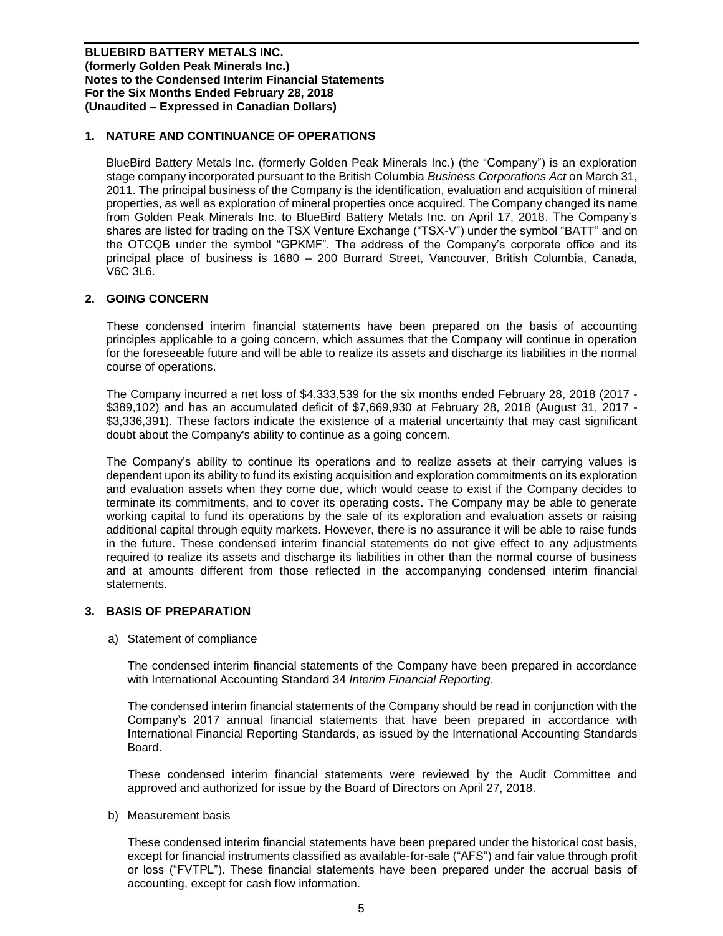# **1. NATURE AND CONTINUANCE OF OPERATIONS**

BlueBird Battery Metals Inc. (formerly Golden Peak Minerals Inc.) (the "Company") is an exploration stage company incorporated pursuant to the British Columbia *Business Corporations Act* on March 31, 2011. The principal business of the Company is the identification, evaluation and acquisition of mineral properties, as well as exploration of mineral properties once acquired. The Company changed its name from Golden Peak Minerals Inc. to BlueBird Battery Metals Inc. on April 17, 2018. The Company's shares are listed for trading on the TSX Venture Exchange ("TSX-V") under the symbol "BATT" and on the OTCQB under the symbol "GPKMF". The address of the Company's corporate office and its principal place of business is 1680 – 200 Burrard Street, Vancouver, British Columbia, Canada, V6C 3L6.

# **2. GOING CONCERN**

These condensed interim financial statements have been prepared on the basis of accounting principles applicable to a going concern, which assumes that the Company will continue in operation for the foreseeable future and will be able to realize its assets and discharge its liabilities in the normal course of operations.

The Company incurred a net loss of \$4,333,539 for the six months ended February 28, 2018 (2017 - \$389,102) and has an accumulated deficit of \$7,669,930 at February 28, 2018 (August 31, 2017 - \$3,336,391). These factors indicate the existence of a material uncertainty that may cast significant doubt about the Company's ability to continue as a going concern.

The Company's ability to continue its operations and to realize assets at their carrying values is dependent upon its ability to fund its existing acquisition and exploration commitments on its exploration and evaluation assets when they come due, which would cease to exist if the Company decides to terminate its commitments, and to cover its operating costs. The Company may be able to generate working capital to fund its operations by the sale of its exploration and evaluation assets or raising additional capital through equity markets. However, there is no assurance it will be able to raise funds in the future. These condensed interim financial statements do not give effect to any adjustments required to realize its assets and discharge its liabilities in other than the normal course of business and at amounts different from those reflected in the accompanying condensed interim financial statements.

# **3. BASIS OF PREPARATION**

a) Statement of compliance

The condensed interim financial statements of the Company have been prepared in accordance with International Accounting Standard 34 *Interim Financial Reporting*.

The condensed interim financial statements of the Company should be read in conjunction with the Company's 2017 annual financial statements that have been prepared in accordance with International Financial Reporting Standards, as issued by the International Accounting Standards Board.

These condensed interim financial statements were reviewed by the Audit Committee and approved and authorized for issue by the Board of Directors on April 27, 2018.

b) Measurement basis

These condensed interim financial statements have been prepared under the historical cost basis, except for financial instruments classified as available-for-sale ("AFS") and fair value through profit or loss ("FVTPL"). These financial statements have been prepared under the accrual basis of accounting, except for cash flow information.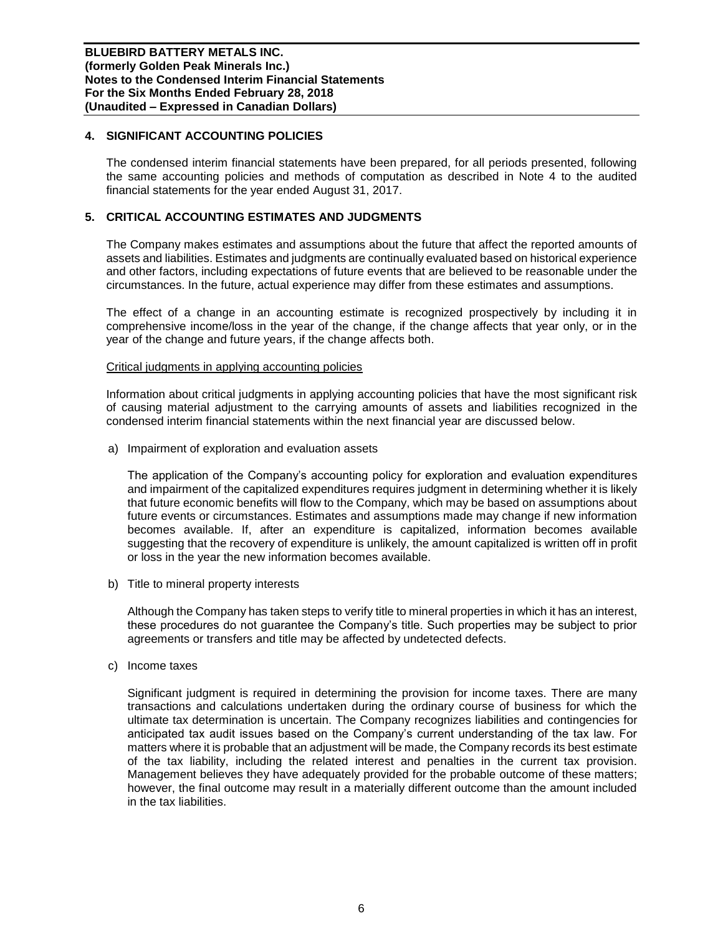# **4. SIGNIFICANT ACCOUNTING POLICIES**

The condensed interim financial statements have been prepared, for all periods presented, following the same accounting policies and methods of computation as described in Note 4 to the audited financial statements for the year ended August 31, 2017.

# **5. CRITICAL ACCOUNTING ESTIMATES AND JUDGMENTS**

The Company makes estimates and assumptions about the future that affect the reported amounts of assets and liabilities. Estimates and judgments are continually evaluated based on historical experience and other factors, including expectations of future events that are believed to be reasonable under the circumstances. In the future, actual experience may differ from these estimates and assumptions.

The effect of a change in an accounting estimate is recognized prospectively by including it in comprehensive income/loss in the year of the change, if the change affects that year only, or in the year of the change and future years, if the change affects both.

### Critical judgments in applying accounting policies

Information about critical judgments in applying accounting policies that have the most significant risk of causing material adjustment to the carrying amounts of assets and liabilities recognized in the condensed interim financial statements within the next financial year are discussed below.

a) Impairment of exploration and evaluation assets

The application of the Company's accounting policy for exploration and evaluation expenditures and impairment of the capitalized expenditures requires judgment in determining whether it is likely that future economic benefits will flow to the Company, which may be based on assumptions about future events or circumstances. Estimates and assumptions made may change if new information becomes available. If, after an expenditure is capitalized, information becomes available suggesting that the recovery of expenditure is unlikely, the amount capitalized is written off in profit or loss in the year the new information becomes available.

b) Title to mineral property interests

Although the Company has taken steps to verify title to mineral properties in which it has an interest, these procedures do not guarantee the Company's title. Such properties may be subject to prior agreements or transfers and title may be affected by undetected defects.

c) Income taxes

Significant judgment is required in determining the provision for income taxes. There are many transactions and calculations undertaken during the ordinary course of business for which the ultimate tax determination is uncertain. The Company recognizes liabilities and contingencies for anticipated tax audit issues based on the Company's current understanding of the tax law. For matters where it is probable that an adjustment will be made, the Company records its best estimate of the tax liability, including the related interest and penalties in the current tax provision. Management believes they have adequately provided for the probable outcome of these matters; however, the final outcome may result in a materially different outcome than the amount included in the tax liabilities.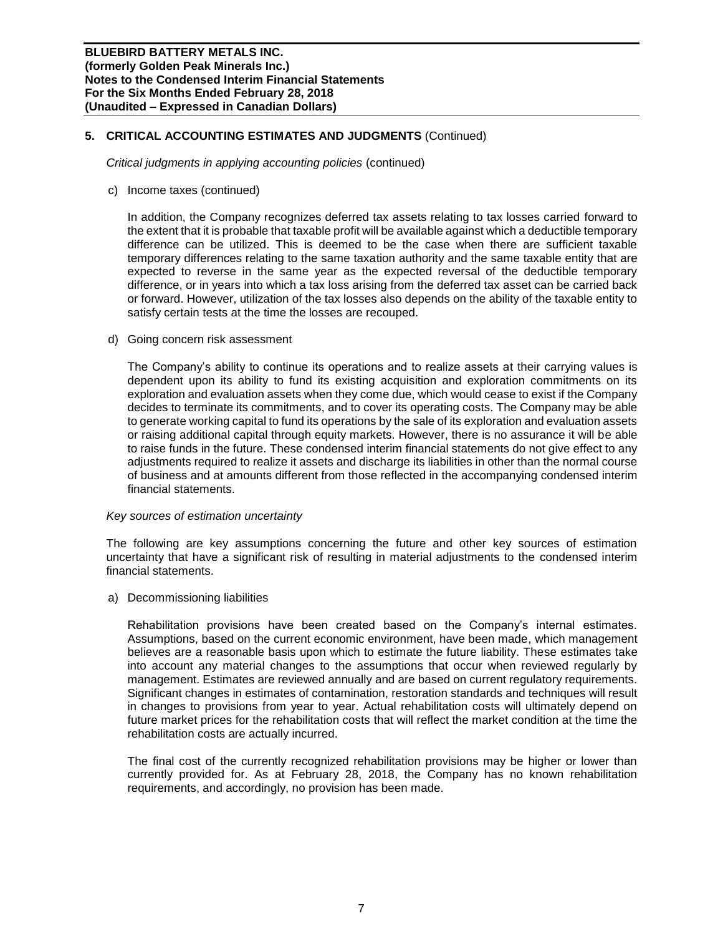# **5. CRITICAL ACCOUNTING ESTIMATES AND JUDGMENTS** (Continued)

*Critical judgments in applying accounting policies* (continued)

c) Income taxes (continued)

In addition, the Company recognizes deferred tax assets relating to tax losses carried forward to the extent that it is probable that taxable profit will be available against which a deductible temporary difference can be utilized. This is deemed to be the case when there are sufficient taxable temporary differences relating to the same taxation authority and the same taxable entity that are expected to reverse in the same year as the expected reversal of the deductible temporary difference, or in years into which a tax loss arising from the deferred tax asset can be carried back or forward. However, utilization of the tax losses also depends on the ability of the taxable entity to satisfy certain tests at the time the losses are recouped.

d) Going concern risk assessment

The Company's ability to continue its operations and to realize assets at their carrying values is dependent upon its ability to fund its existing acquisition and exploration commitments on its exploration and evaluation assets when they come due, which would cease to exist if the Company decides to terminate its commitments, and to cover its operating costs. The Company may be able to generate working capital to fund its operations by the sale of its exploration and evaluation assets or raising additional capital through equity markets. However, there is no assurance it will be able to raise funds in the future. These condensed interim financial statements do not give effect to any adjustments required to realize it assets and discharge its liabilities in other than the normal course of business and at amounts different from those reflected in the accompanying condensed interim financial statements.

#### *Key sources of estimation uncertainty*

The following are key assumptions concerning the future and other key sources of estimation uncertainty that have a significant risk of resulting in material adjustments to the condensed interim financial statements.

a) Decommissioning liabilities

Rehabilitation provisions have been created based on the Company's internal estimates. Assumptions, based on the current economic environment, have been made, which management believes are a reasonable basis upon which to estimate the future liability. These estimates take into account any material changes to the assumptions that occur when reviewed regularly by management. Estimates are reviewed annually and are based on current regulatory requirements. Significant changes in estimates of contamination, restoration standards and techniques will result in changes to provisions from year to year. Actual rehabilitation costs will ultimately depend on future market prices for the rehabilitation costs that will reflect the market condition at the time the rehabilitation costs are actually incurred.

The final cost of the currently recognized rehabilitation provisions may be higher or lower than currently provided for. As at February 28, 2018, the Company has no known rehabilitation requirements, and accordingly, no provision has been made.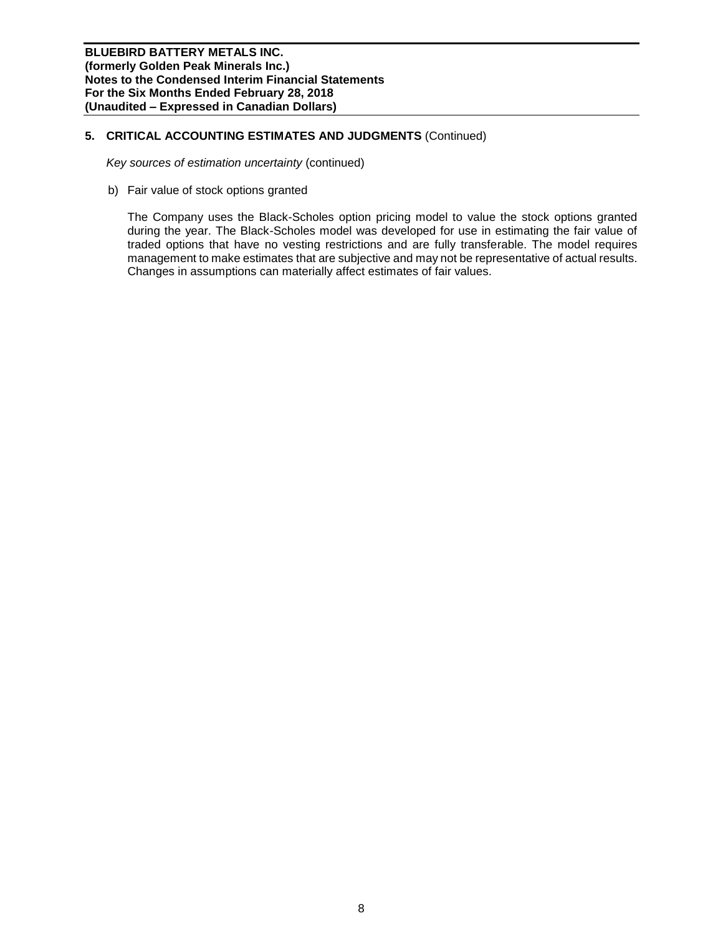# **5. CRITICAL ACCOUNTING ESTIMATES AND JUDGMENTS** (Continued)

*Key sources of estimation uncertainty* (continued)

b) Fair value of stock options granted

The Company uses the Black-Scholes option pricing model to value the stock options granted during the year. The Black-Scholes model was developed for use in estimating the fair value of traded options that have no vesting restrictions and are fully transferable. The model requires management to make estimates that are subjective and may not be representative of actual results. Changes in assumptions can materially affect estimates of fair values.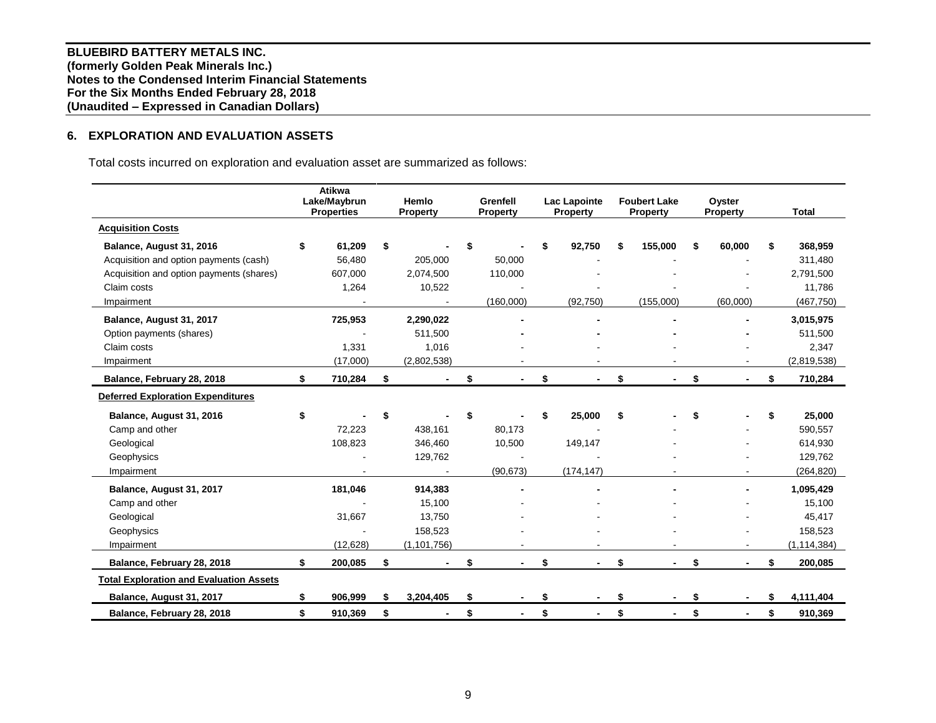# **6. EXPLORATION AND EVALUATION ASSETS**

Total costs incurred on exploration and evaluation asset are summarized as follows:

|                                                | Atikwa<br>Lake/Maybrun<br><b>Properties</b> | Hemlo<br><b>Property</b> | <b>Grenfell</b><br><b>Property</b> | Lac Lapointe<br><b>Property</b> |    | <b>Foubert Lake</b><br><b>Property</b> | Oyster<br><b>Property</b> | <b>Total</b>    |
|------------------------------------------------|---------------------------------------------|--------------------------|------------------------------------|---------------------------------|----|----------------------------------------|---------------------------|-----------------|
| <b>Acquisition Costs</b>                       |                                             |                          |                                    |                                 |    |                                        |                           |                 |
| Balance, August 31, 2016                       | \$<br>61,209                                | \$                       | \$                                 | \$<br>92,750                    | S  | 155,000                                | \$<br>60,000              | \$<br>368,959   |
| Acquisition and option payments (cash)         | 56,480                                      | 205,000                  | 50,000                             |                                 |    |                                        |                           | 311,480         |
| Acquisition and option payments (shares)       | 607,000                                     | 2,074,500                | 110,000                            |                                 |    |                                        |                           | 2,791,500       |
| Claim costs                                    | 1,264                                       | 10,522                   |                                    |                                 |    |                                        |                           | 11,786          |
| Impairment                                     |                                             |                          | (160,000)                          | (92, 750)                       |    | (155,000)                              | (60,000)                  | (467, 750)      |
| Balance, August 31, 2017                       | 725,953                                     | 2,290,022                |                                    |                                 |    |                                        |                           | 3,015,975       |
| Option payments (shares)                       |                                             | 511,500                  |                                    |                                 |    |                                        |                           | 511,500         |
| Claim costs                                    | 1,331                                       | 1,016                    |                                    |                                 |    |                                        |                           | 2,347           |
| Impairment                                     | (17,000)                                    | (2,802,538)              |                                    |                                 |    |                                        |                           | (2,819,538)     |
| Balance, February 28, 2018                     | \$<br>710,284                               | \$                       | \$                                 | \$                              | \$ |                                        | \$                        | \$<br>710,284   |
| <b>Deferred Exploration Expenditures</b>       |                                             |                          |                                    |                                 |    |                                        |                           |                 |
| Balance, August 31, 2016                       | \$                                          | \$                       | \$                                 | 25,000                          | \$ |                                        |                           | \$<br>25,000    |
| Camp and other                                 | 72,223                                      | 438,161                  | 80,173                             |                                 |    |                                        |                           | 590,557         |
| Geological                                     | 108,823                                     | 346,460                  | 10,500                             | 149,147                         |    |                                        |                           | 614,930         |
| Geophysics                                     |                                             | 129,762                  |                                    |                                 |    |                                        |                           | 129,762         |
| Impairment                                     |                                             |                          | (90, 673)                          | (174, 147)                      |    |                                        |                           | (264, 820)      |
| Balance, August 31, 2017                       | 181,046                                     | 914,383                  |                                    |                                 |    |                                        |                           | 1,095,429       |
| Camp and other                                 |                                             | 15,100                   |                                    |                                 |    |                                        |                           | 15,100          |
| Geological                                     | 31,667                                      | 13,750                   |                                    |                                 |    |                                        |                           | 45,417          |
| Geophysics                                     |                                             | 158,523                  |                                    |                                 |    |                                        |                           | 158,523         |
| Impairment                                     | (12, 628)                                   | (1, 101, 756)            |                                    |                                 |    |                                        |                           | (1, 114, 384)   |
| Balance, February 28, 2018                     | \$<br>200,085                               | \$                       | \$                                 | \$<br>$\overline{\phantom{0}}$  | \$ |                                        | \$                        | \$<br>200,085   |
| <b>Total Exploration and Evaluation Assets</b> |                                             |                          |                                    |                                 |    |                                        |                           |                 |
| Balance, August 31, 2017                       | \$<br>906,999                               | \$<br>3,204,405          | \$                                 | \$                              | \$ |                                        | \$                        | \$<br>4,111,404 |
| Balance, February 28, 2018                     | \$<br>910,369                               | \$                       | \$                                 | \$                              | \$ |                                        | \$                        | \$<br>910.369   |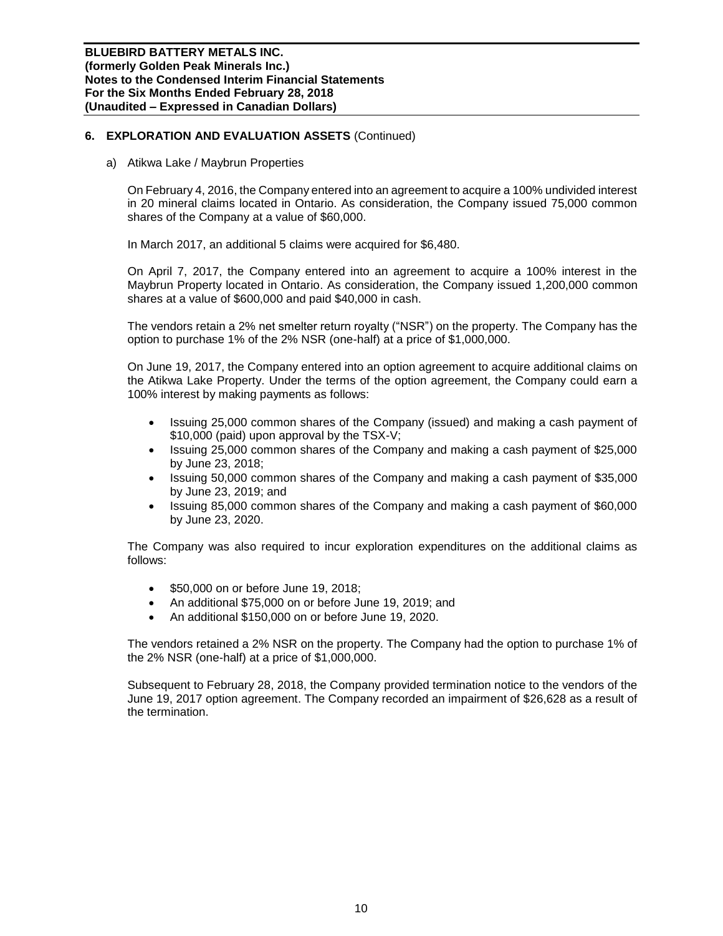a) Atikwa Lake / Maybrun Properties

On February 4, 2016, the Company entered into an agreement to acquire a 100% undivided interest in 20 mineral claims located in Ontario. As consideration, the Company issued 75,000 common shares of the Company at a value of \$60,000.

In March 2017, an additional 5 claims were acquired for \$6,480.

On April 7, 2017, the Company entered into an agreement to acquire a 100% interest in the Maybrun Property located in Ontario. As consideration, the Company issued 1,200,000 common shares at a value of \$600,000 and paid \$40,000 in cash.

The vendors retain a 2% net smelter return royalty ("NSR") on the property. The Company has the option to purchase 1% of the 2% NSR (one-half) at a price of \$1,000,000.

On June 19, 2017, the Company entered into an option agreement to acquire additional claims on the Atikwa Lake Property. Under the terms of the option agreement, the Company could earn a 100% interest by making payments as follows:

- Issuing 25,000 common shares of the Company (issued) and making a cash payment of \$10,000 (paid) upon approval by the TSX-V;
- Issuing 25,000 common shares of the Company and making a cash payment of \$25,000 by June 23, 2018;
- Issuing 50,000 common shares of the Company and making a cash payment of \$35,000 by June 23, 2019; and
- Issuing 85,000 common shares of the Company and making a cash payment of \$60,000 by June 23, 2020.

The Company was also required to incur exploration expenditures on the additional claims as follows:

- \$50,000 on or before June 19, 2018;
- An additional \$75,000 on or before June 19, 2019; and
- An additional \$150,000 on or before June 19, 2020.

The vendors retained a 2% NSR on the property. The Company had the option to purchase 1% of the 2% NSR (one-half) at a price of \$1,000,000.

Subsequent to February 28, 2018, the Company provided termination notice to the vendors of the June 19, 2017 option agreement. The Company recorded an impairment of \$26,628 as a result of the termination.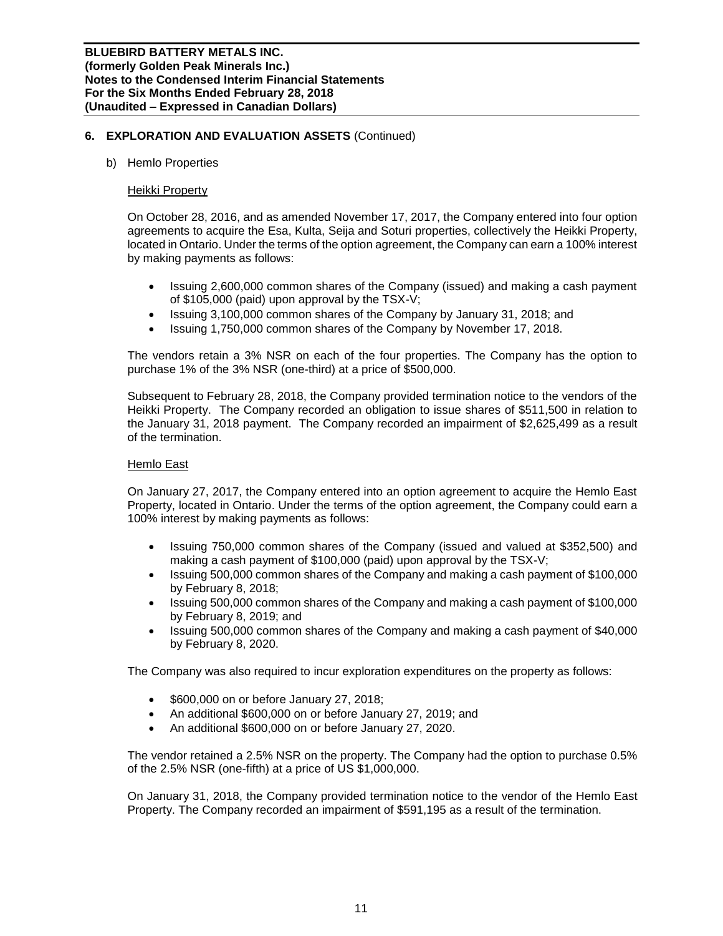### b) Hemlo Properties

#### Heikki Property

On October 28, 2016, and as amended November 17, 2017, the Company entered into four option agreements to acquire the Esa, Kulta, Seija and Soturi properties, collectively the Heikki Property, located in Ontario. Under the terms of the option agreement, the Company can earn a 100% interest by making payments as follows:

- Issuing 2,600,000 common shares of the Company (issued) and making a cash payment of \$105,000 (paid) upon approval by the TSX-V;
- Issuing 3,100,000 common shares of the Company by January 31, 2018; and
- Issuing 1,750,000 common shares of the Company by November 17, 2018.

The vendors retain a 3% NSR on each of the four properties. The Company has the option to purchase 1% of the 3% NSR (one-third) at a price of \$500,000.

Subsequent to February 28, 2018, the Company provided termination notice to the vendors of the Heikki Property. The Company recorded an obligation to issue shares of \$511,500 in relation to the January 31, 2018 payment. The Company recorded an impairment of \$2,625,499 as a result of the termination.

#### Hemlo East

On January 27, 2017, the Company entered into an option agreement to acquire the Hemlo East Property, located in Ontario. Under the terms of the option agreement, the Company could earn a 100% interest by making payments as follows:

- Issuing 750,000 common shares of the Company (issued and valued at \$352,500) and making a cash payment of \$100,000 (paid) upon approval by the TSX-V;
- Issuing 500,000 common shares of the Company and making a cash payment of \$100,000 by February 8, 2018;
- Issuing 500,000 common shares of the Company and making a cash payment of \$100,000 by February 8, 2019; and
- Issuing 500,000 common shares of the Company and making a cash payment of \$40,000 by February 8, 2020.

The Company was also required to incur exploration expenditures on the property as follows:

- \$600,000 on or before January 27, 2018;
- An additional \$600,000 on or before January 27, 2019; and
- An additional \$600,000 on or before January 27, 2020.

The vendor retained a 2.5% NSR on the property. The Company had the option to purchase 0.5% of the 2.5% NSR (one-fifth) at a price of US \$1,000,000.

On January 31, 2018, the Company provided termination notice to the vendor of the Hemlo East Property. The Company recorded an impairment of \$591,195 as a result of the termination.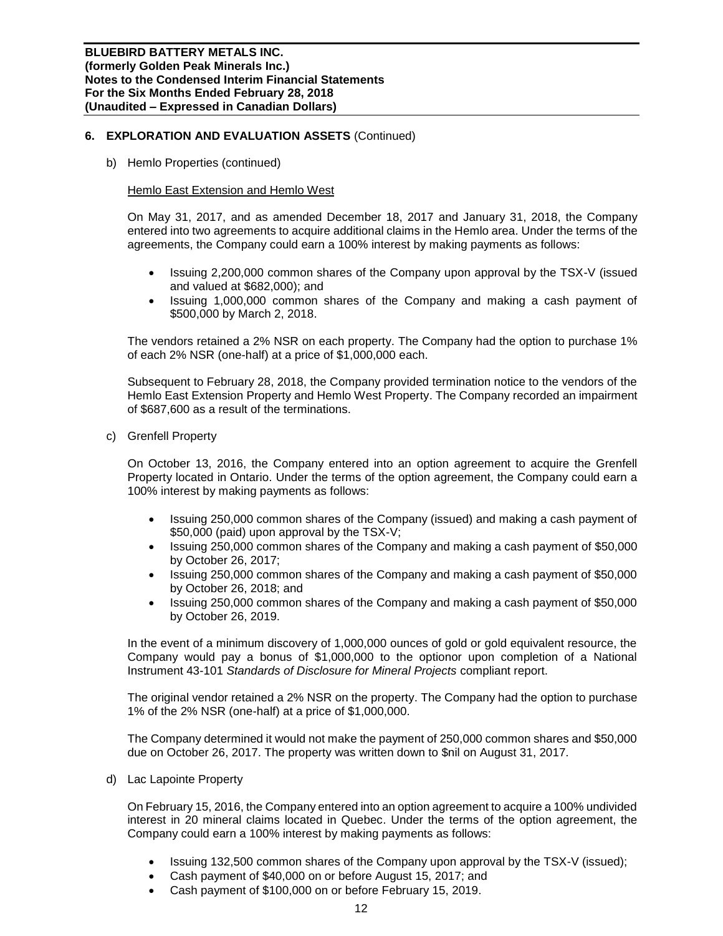b) Hemlo Properties (continued)

#### Hemlo East Extension and Hemlo West

On May 31, 2017, and as amended December 18, 2017 and January 31, 2018, the Company entered into two agreements to acquire additional claims in the Hemlo area. Under the terms of the agreements, the Company could earn a 100% interest by making payments as follows:

- Issuing 2,200,000 common shares of the Company upon approval by the TSX-V (issued and valued at \$682,000); and
- Issuing 1,000,000 common shares of the Company and making a cash payment of \$500,000 by March 2, 2018.

The vendors retained a 2% NSR on each property. The Company had the option to purchase 1% of each 2% NSR (one-half) at a price of \$1,000,000 each.

Subsequent to February 28, 2018, the Company provided termination notice to the vendors of the Hemlo East Extension Property and Hemlo West Property. The Company recorded an impairment of \$687,600 as a result of the terminations.

c) Grenfell Property

On October 13, 2016, the Company entered into an option agreement to acquire the Grenfell Property located in Ontario. Under the terms of the option agreement, the Company could earn a 100% interest by making payments as follows:

- Issuing 250,000 common shares of the Company (issued) and making a cash payment of \$50,000 (paid) upon approval by the TSX-V;
- Issuing 250,000 common shares of the Company and making a cash payment of \$50,000 by October 26, 2017;
- Issuing 250,000 common shares of the Company and making a cash payment of \$50,000 by October 26, 2018; and
- Issuing 250,000 common shares of the Company and making a cash payment of \$50,000 by October 26, 2019.

In the event of a minimum discovery of 1,000,000 ounces of gold or gold equivalent resource, the Company would pay a bonus of \$1,000,000 to the optionor upon completion of a National Instrument 43-101 *Standards of Disclosure for Mineral Projects* compliant report.

The original vendor retained a 2% NSR on the property. The Company had the option to purchase 1% of the 2% NSR (one-half) at a price of \$1,000,000.

The Company determined it would not make the payment of 250,000 common shares and \$50,000 due on October 26, 2017. The property was written down to \$nil on August 31, 2017.

d) Lac Lapointe Property

On February 15, 2016, the Company entered into an option agreement to acquire a 100% undivided interest in 20 mineral claims located in Quebec. Under the terms of the option agreement, the Company could earn a 100% interest by making payments as follows:

- Issuing 132,500 common shares of the Company upon approval by the TSX-V (issued);
- Cash payment of \$40,000 on or before August 15, 2017; and
- Cash payment of \$100,000 on or before February 15, 2019.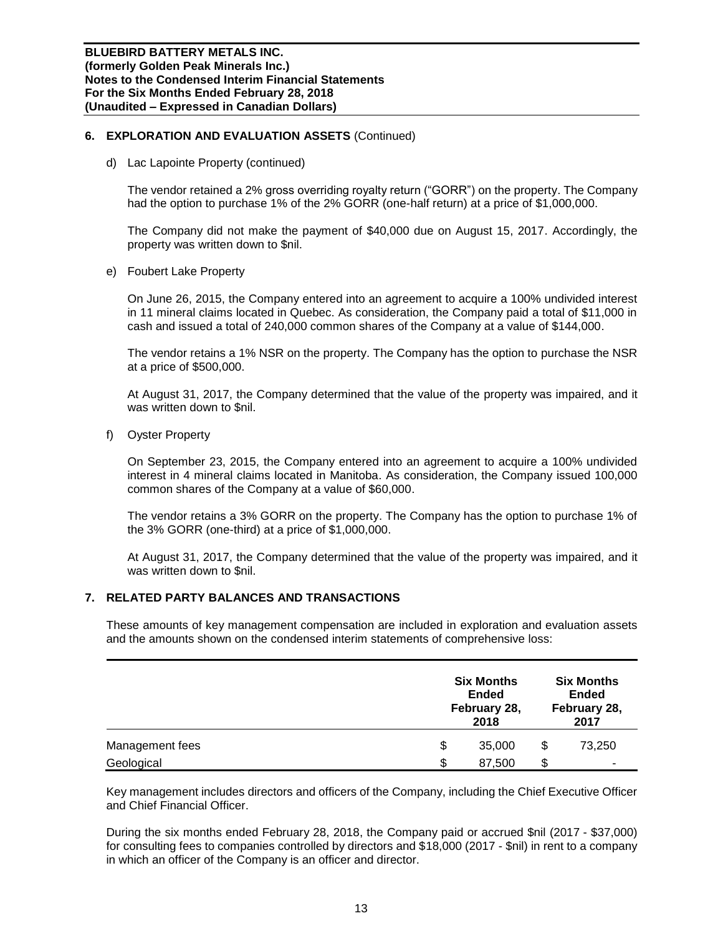d) Lac Lapointe Property (continued)

The vendor retained a 2% gross overriding royalty return ("GORR") on the property. The Company had the option to purchase 1% of the 2% GORR (one-half return) at a price of \$1,000,000.

The Company did not make the payment of \$40,000 due on August 15, 2017. Accordingly, the property was written down to \$nil.

e) Foubert Lake Property

On June 26, 2015, the Company entered into an agreement to acquire a 100% undivided interest in 11 mineral claims located in Quebec. As consideration, the Company paid a total of \$11,000 in cash and issued a total of 240,000 common shares of the Company at a value of \$144,000.

The vendor retains a 1% NSR on the property. The Company has the option to purchase the NSR at a price of \$500,000.

At August 31, 2017, the Company determined that the value of the property was impaired, and it was written down to \$nil.

f) Oyster Property

On September 23, 2015, the Company entered into an agreement to acquire a 100% undivided interest in 4 mineral claims located in Manitoba. As consideration, the Company issued 100,000 common shares of the Company at a value of \$60,000.

The vendor retains a 3% GORR on the property. The Company has the option to purchase 1% of the 3% GORR (one-third) at a price of \$1,000,000.

At August 31, 2017, the Company determined that the value of the property was impaired, and it was written down to \$nil.

# **7. RELATED PARTY BALANCES AND TRANSACTIONS**

These amounts of key management compensation are included in exploration and evaluation assets and the amounts shown on the condensed interim statements of comprehensive loss:

|                 | <b>Six Months</b><br><b>Ended</b><br>February 28,<br>2018 | <b>Six Months</b><br><b>Ended</b><br>February 28,<br>2017 |
|-----------------|-----------------------------------------------------------|-----------------------------------------------------------|
| Management fees | \$<br>35,000                                              | \$<br>73,250                                              |
| Geological      | \$<br>87,500                                              | \$                                                        |

Key management includes directors and officers of the Company, including the Chief Executive Officer and Chief Financial Officer.

During the six months ended February 28, 2018, the Company paid or accrued \$nil (2017 - \$37,000) for consulting fees to companies controlled by directors and \$18,000 (2017 - \$nil) in rent to a company in which an officer of the Company is an officer and director.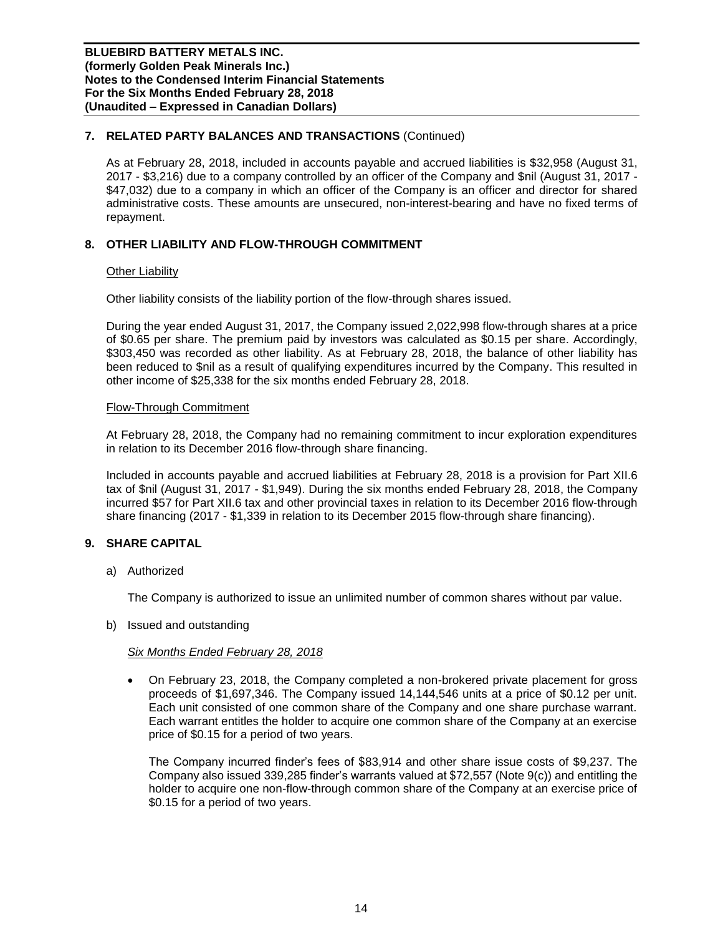**BLUEBIRD BATTERY METALS INC. (formerly Golden Peak Minerals Inc.) Notes to the Condensed Interim Financial Statements For the Six Months Ended February 28, 2018 (Unaudited – Expressed in Canadian Dollars)**

# **7. RELATED PARTY BALANCES AND TRANSACTIONS** (Continued)

As at February 28, 2018, included in accounts payable and accrued liabilities is \$32,958 (August 31, 2017 - \$3,216) due to a company controlled by an officer of the Company and \$nil (August 31, 2017 - \$47,032) due to a company in which an officer of the Company is an officer and director for shared administrative costs. These amounts are unsecured, non-interest-bearing and have no fixed terms of repayment.

# **8. OTHER LIABILITY AND FLOW-THROUGH COMMITMENT**

### Other Liability

Other liability consists of the liability portion of the flow-through shares issued.

During the year ended August 31, 2017, the Company issued 2,022,998 flow-through shares at a price of \$0.65 per share. The premium paid by investors was calculated as \$0.15 per share. Accordingly, \$303,450 was recorded as other liability. As at February 28, 2018, the balance of other liability has been reduced to \$nil as a result of qualifying expenditures incurred by the Company. This resulted in other income of \$25,338 for the six months ended February 28, 2018.

### Flow-Through Commitment

At February 28, 2018, the Company had no remaining commitment to incur exploration expenditures in relation to its December 2016 flow-through share financing.

Included in accounts payable and accrued liabilities at February 28, 2018 is a provision for Part XII.6 tax of \$nil (August 31, 2017 - \$1,949). During the six months ended February 28, 2018, the Company incurred \$57 for Part XII.6 tax and other provincial taxes in relation to its December 2016 flow-through share financing (2017 - \$1,339 in relation to its December 2015 flow-through share financing).

### **9. SHARE CAPITAL**

a) Authorized

The Company is authorized to issue an unlimited number of common shares without par value.

b) Issued and outstanding

### *Six Months Ended February 28, 2018*

• On February 23, 2018, the Company completed a non-brokered private placement for gross proceeds of \$1,697,346. The Company issued 14,144,546 units at a price of \$0.12 per unit. Each unit consisted of one common share of the Company and one share purchase warrant. Each warrant entitles the holder to acquire one common share of the Company at an exercise price of \$0.15 for a period of two years.

The Company incurred finder's fees of \$83,914 and other share issue costs of \$9,237. The Company also issued 339,285 finder's warrants valued at \$72,557 (Note 9(c)) and entitling the holder to acquire one non-flow-through common share of the Company at an exercise price of \$0.15 for a period of two years.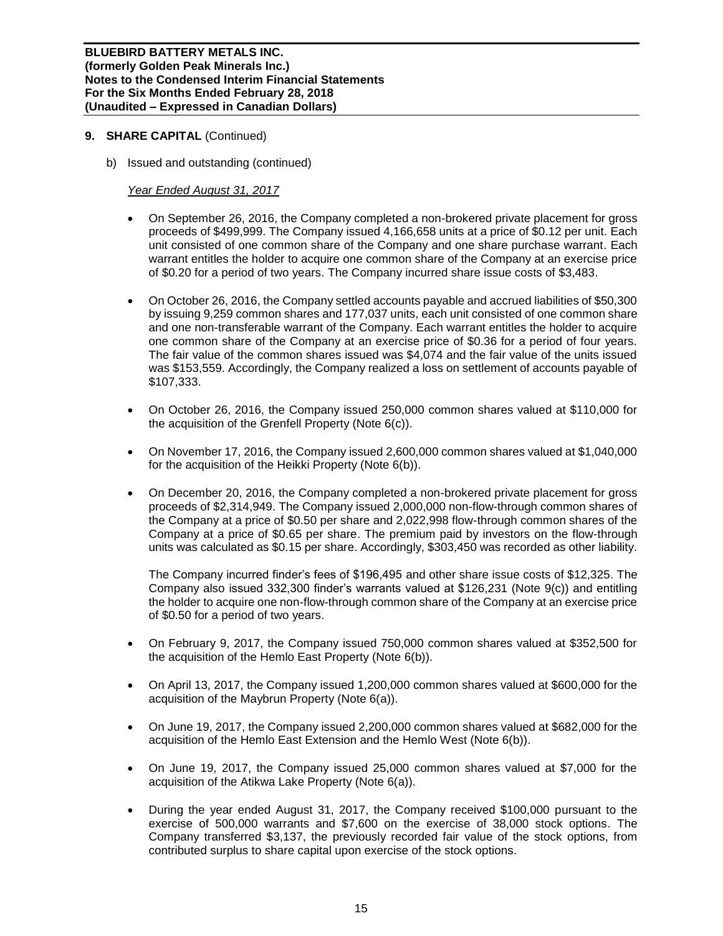b) Issued and outstanding (continued)

*Year Ended August 31, 2017*

- On September 26, 2016, the Company completed a non-brokered private placement for gross proceeds of \$499,999. The Company issued 4,166,658 units at a price of \$0.12 per unit. Each unit consisted of one common share of the Company and one share purchase warrant. Each warrant entitles the holder to acquire one common share of the Company at an exercise price of \$0.20 for a period of two years. The Company incurred share issue costs of \$3,483.
- On October 26, 2016, the Company settled accounts payable and accrued liabilities of \$50,300 by issuing 9,259 common shares and 177,037 units, each unit consisted of one common share and one non-transferable warrant of the Company. Each warrant entitles the holder to acquire one common share of the Company at an exercise price of \$0.36 for a period of four years. The fair value of the common shares issued was \$4,074 and the fair value of the units issued was \$153,559. Accordingly, the Company realized a loss on settlement of accounts payable of \$107,333.
- On October 26, 2016, the Company issued 250,000 common shares valued at \$110,000 for the acquisition of the Grenfell Property (Note 6(c)).
- On November 17, 2016, the Company issued 2,600,000 common shares valued at \$1,040,000 for the acquisition of the Heikki Property (Note 6(b)).
- On December 20, 2016, the Company completed a non-brokered private placement for gross proceeds of \$2,314,949. The Company issued 2,000,000 non-flow-through common shares of the Company at a price of \$0.50 per share and 2,022,998 flow-through common shares of the Company at a price of \$0.65 per share. The premium paid by investors on the flow-through units was calculated as \$0.15 per share. Accordingly, \$303,450 was recorded as other liability.

The Company incurred finder's fees of \$196,495 and other share issue costs of \$12,325. The Company also issued 332,300 finder's warrants valued at \$126,231 (Note 9(c)) and entitling the holder to acquire one non-flow-through common share of the Company at an exercise price of \$0.50 for a period of two years.

- On February 9, 2017, the Company issued 750,000 common shares valued at \$352,500 for the acquisition of the Hemlo East Property (Note 6(b)).
- On April 13, 2017, the Company issued 1,200,000 common shares valued at \$600,000 for the acquisition of the Maybrun Property (Note 6(a)).
- On June 19, 2017, the Company issued 2,200,000 common shares valued at \$682,000 for the acquisition of the Hemlo East Extension and the Hemlo West (Note 6(b)).
- On June 19, 2017, the Company issued 25,000 common shares valued at \$7,000 for the acquisition of the Atikwa Lake Property (Note 6(a)).
- During the year ended August 31, 2017, the Company received \$100,000 pursuant to the exercise of 500,000 warrants and \$7,600 on the exercise of 38,000 stock options. The Company transferred \$3,137, the previously recorded fair value of the stock options, from contributed surplus to share capital upon exercise of the stock options.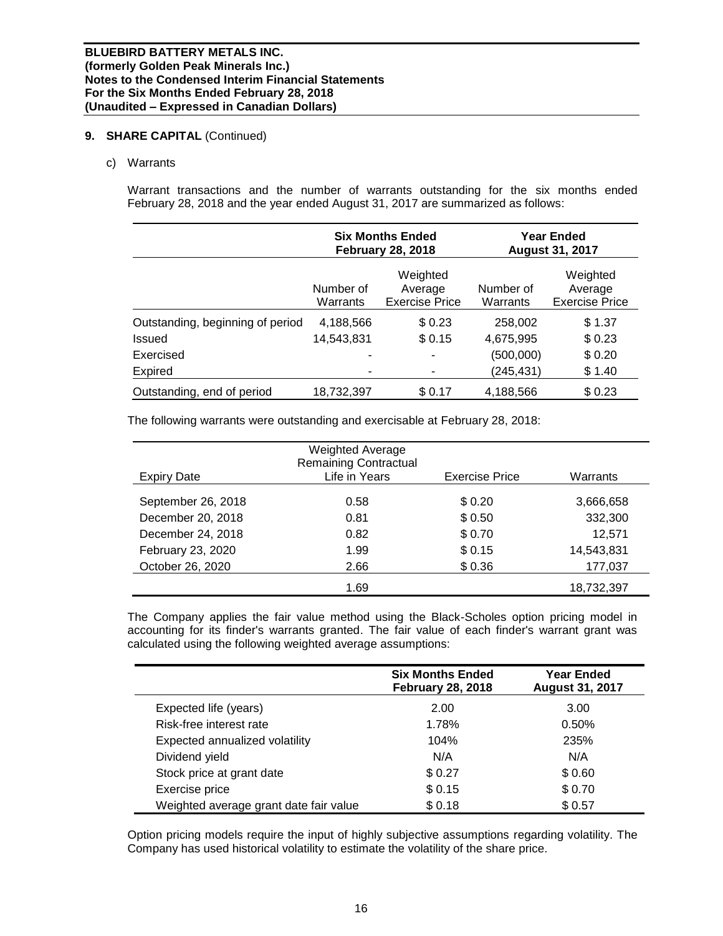c) Warrants

Warrant transactions and the number of warrants outstanding for the six months ended February 28, 2018 and the year ended August 31, 2017 are summarized as follows:

|                                  |                       | <b>Six Months Ended</b><br><b>February 28, 2018</b> |                       | <b>Year Ended</b><br><b>August 31, 2017</b>  |
|----------------------------------|-----------------------|-----------------------------------------------------|-----------------------|----------------------------------------------|
|                                  | Number of<br>Warrants | Weighted<br>Average<br><b>Exercise Price</b>        | Number of<br>Warrants | Weighted<br>Average<br><b>Exercise Price</b> |
| Outstanding, beginning of period | 4,188,566             | \$0.23                                              | 258,002               | \$1.37                                       |
| <b>Issued</b>                    | 14,543,831            | \$0.15                                              | 4,675,995             | \$0.23                                       |
| Exercised                        |                       | ۰                                                   | (500,000)             | \$0.20                                       |
| <b>Expired</b>                   |                       | ۰                                                   | (245,431)             | \$1.40                                       |
| Outstanding, end of period       | 18,732,397            | \$0.17                                              | 4,188,566             | \$0.23                                       |

The following warrants were outstanding and exercisable at February 28, 2018:

|                    | <b>Weighted Average</b><br><b>Remaining Contractual</b> |                       |            |
|--------------------|---------------------------------------------------------|-----------------------|------------|
| Expiry Date        | Life in Years                                           | <b>Exercise Price</b> | Warrants   |
| September 26, 2018 | 0.58                                                    | \$0.20                | 3.666.658  |
| December 20, 2018  | 0.81                                                    | \$0.50                | 332,300    |
| December 24, 2018  | 0.82                                                    | \$0.70                | 12.571     |
| February 23, 2020  | 1.99                                                    | \$0.15                | 14,543,831 |
| October 26, 2020   | 2.66                                                    | \$0.36                | 177,037    |
|                    | 1.69                                                    |                       | 18.732.397 |

The Company applies the fair value method using the Black-Scholes option pricing model in accounting for its finder's warrants granted. The fair value of each finder's warrant grant was calculated using the following weighted average assumptions:

|                                        | <b>Six Months Ended</b><br><b>February 28, 2018</b> | Year Ended<br><b>August 31, 2017</b> |
|----------------------------------------|-----------------------------------------------------|--------------------------------------|
| Expected life (years)                  | 2.00                                                | 3.00                                 |
| Risk-free interest rate                | 1.78%                                               | 0.50%                                |
| Expected annualized volatility         | 104%                                                | 235%                                 |
| Dividend yield                         | N/A                                                 | N/A                                  |
| Stock price at grant date              | \$0.27                                              | \$0.60                               |
| Exercise price                         | \$0.15                                              | \$0.70                               |
| Weighted average grant date fair value | \$0.18                                              | \$0.57                               |

Option pricing models require the input of highly subjective assumptions regarding volatility. The Company has used historical volatility to estimate the volatility of the share price.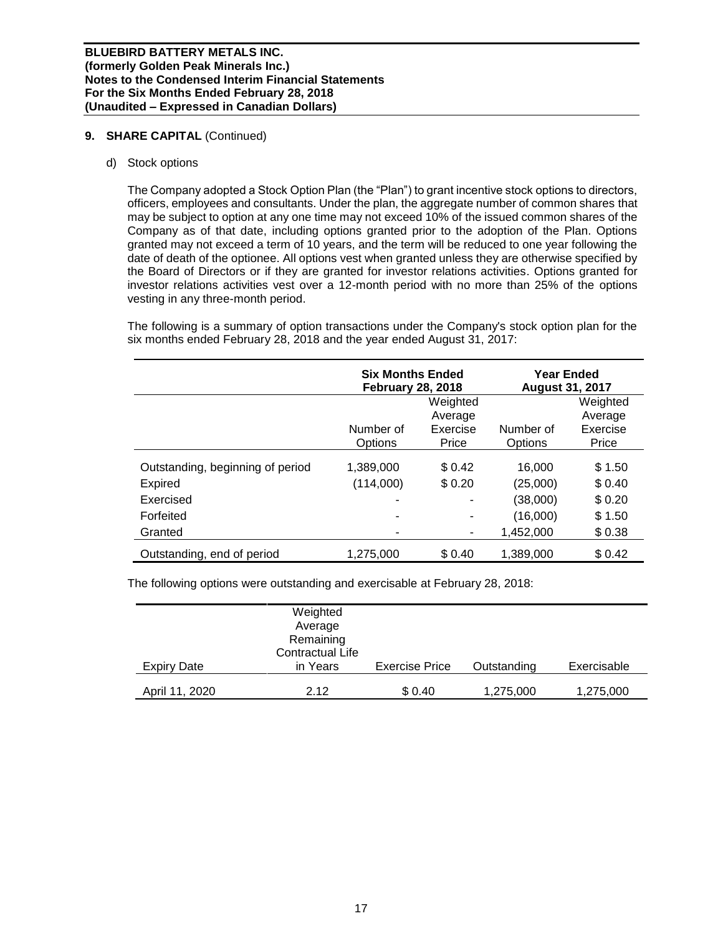d) Stock options

The Company adopted a Stock Option Plan (the "Plan") to grant incentive stock options to directors, officers, employees and consultants. Under the plan, the aggregate number of common shares that may be subject to option at any one time may not exceed 10% of the issued common shares of the Company as of that date, including options granted prior to the adoption of the Plan. Options granted may not exceed a term of 10 years, and the term will be reduced to one year following the date of death of the optionee. All options vest when granted unless they are otherwise specified by the Board of Directors or if they are granted for investor relations activities. Options granted for investor relations activities vest over a 12-month period with no more than 25% of the options vesting in any three-month period.

The following is a summary of option transactions under the Company's stock option plan for the six months ended February 28, 2018 and the year ended August 31, 2017:

|                                  | <b>Six Months Ended</b><br><b>February 28, 2018</b> |          | <b>Year Ended</b><br><b>August 31, 2017</b> |          |
|----------------------------------|-----------------------------------------------------|----------|---------------------------------------------|----------|
|                                  |                                                     | Weighted |                                             | Weighted |
|                                  |                                                     | Average  |                                             | Average  |
|                                  | Number of                                           | Exercise | Number of                                   | Exercise |
|                                  | Options                                             | Price    | Options                                     | Price    |
|                                  |                                                     |          |                                             |          |
| Outstanding, beginning of period | 1,389,000                                           | \$0.42   | 16.000                                      | \$1.50   |
| Expired                          | (114,000)                                           | \$0.20   | (25,000)                                    | \$0.40   |
| Exercised                        |                                                     |          | (38,000)                                    | \$0.20   |
| Forfeited                        |                                                     |          | (16,000)                                    | \$1.50   |
| Granted                          |                                                     | ۰        | 1,452,000                                   | \$0.38   |
| Outstanding, end of period       | 1,275,000                                           | \$0.40   | 1,389,000                                   | \$0.42   |

The following options were outstanding and exercisable at February 28, 2018:

|                | Weighted<br>Average<br>Remaining<br>Contractual Life |                       |             |             |
|----------------|------------------------------------------------------|-----------------------|-------------|-------------|
| Expiry Date    | in Years                                             | <b>Exercise Price</b> | Outstanding | Exercisable |
| April 11, 2020 | 2.12                                                 | \$0.40                | 1,275,000   | 1,275,000   |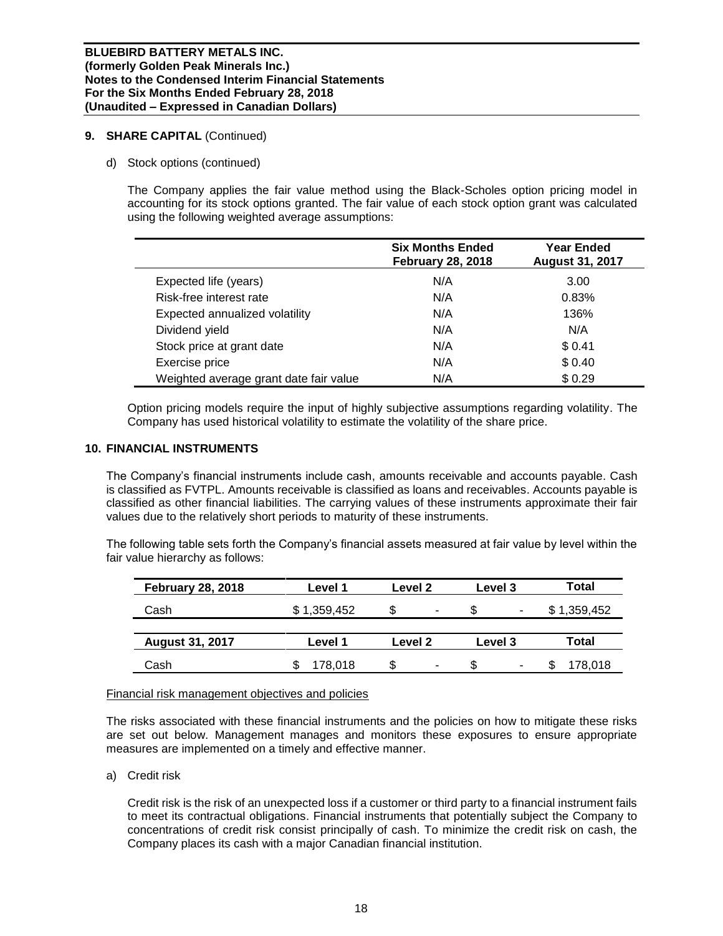d) Stock options (continued)

The Company applies the fair value method using the Black-Scholes option pricing model in accounting for its stock options granted. The fair value of each stock option grant was calculated using the following weighted average assumptions:

|                                        | <b>Six Months Ended</b><br><b>February 28, 2018</b> | <b>Year Ended</b><br><b>August 31, 2017</b> |
|----------------------------------------|-----------------------------------------------------|---------------------------------------------|
| Expected life (years)                  | N/A                                                 | 3.00                                        |
| Risk-free interest rate                | N/A                                                 | 0.83%                                       |
| Expected annualized volatility         | N/A                                                 | 136%                                        |
| Dividend yield                         | N/A                                                 | N/A                                         |
| Stock price at grant date              | N/A                                                 | \$0.41                                      |
| Exercise price                         | N/A                                                 | \$0.40                                      |
| Weighted average grant date fair value | N/A                                                 | \$0.29                                      |

Option pricing models require the input of highly subjective assumptions regarding volatility. The Company has used historical volatility to estimate the volatility of the share price.

# **10. FINANCIAL INSTRUMENTS**

The Company's financial instruments include cash, amounts receivable and accounts payable. Cash is classified as FVTPL. Amounts receivable is classified as loans and receivables. Accounts payable is classified as other financial liabilities. The carrying values of these instruments approximate their fair values due to the relatively short periods to maturity of these instruments.

The following table sets forth the Company's financial assets measured at fair value by level within the fair value hierarchy as follows:

| <b>February 28, 2018</b> | Level 1     | Level 2 | <b>Level 3</b> | Total       |
|--------------------------|-------------|---------|----------------|-------------|
| Cash                     | \$1,359,452 | ۰       | S<br>۰         | \$1,359,452 |
| <b>August 31, 2017</b>   | Level 1     | Level 2 | <b>Level 3</b> | Total       |
| Cash                     | 178,018     | \$<br>۰ | S<br>۰         | 178,018     |

### Financial risk management objectives and policies

The risks associated with these financial instruments and the policies on how to mitigate these risks are set out below. Management manages and monitors these exposures to ensure appropriate measures are implemented on a timely and effective manner.

a) Credit risk

Credit risk is the risk of an unexpected loss if a customer or third party to a financial instrument fails to meet its contractual obligations. Financial instruments that potentially subject the Company to concentrations of credit risk consist principally of cash. To minimize the credit risk on cash, the Company places its cash with a major Canadian financial institution.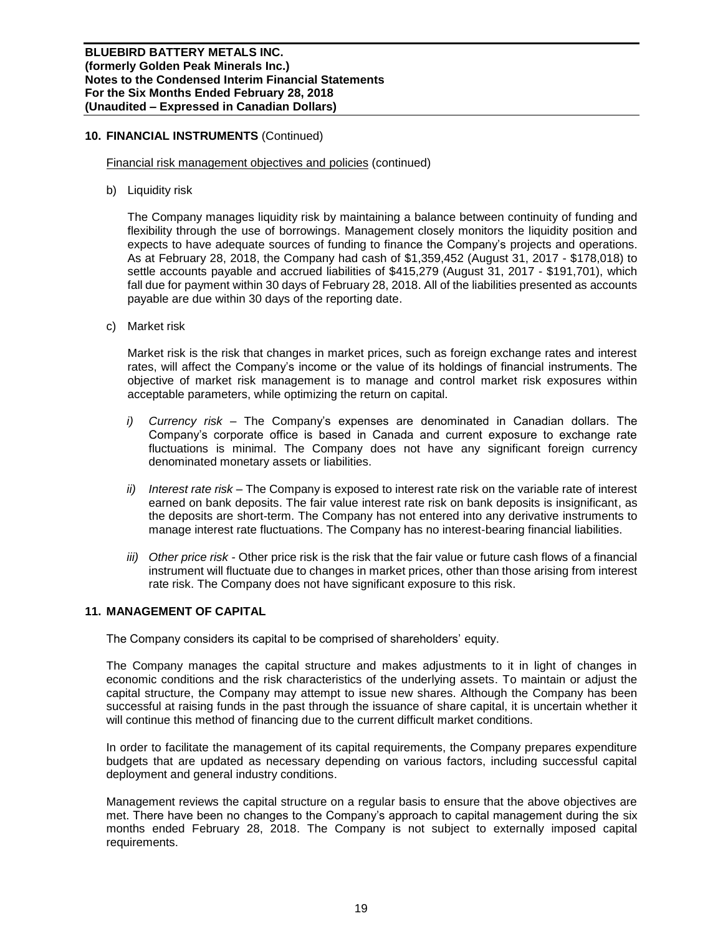### **10. FINANCIAL INSTRUMENTS** (Continued)

Financial risk management objectives and policies (continued)

b) Liquidity risk

The Company manages liquidity risk by maintaining a balance between continuity of funding and flexibility through the use of borrowings. Management closely monitors the liquidity position and expects to have adequate sources of funding to finance the Company's projects and operations. As at February 28, 2018, the Company had cash of \$1,359,452 (August 31, 2017 - \$178,018) to settle accounts payable and accrued liabilities of \$415,279 (August 31, 2017 - \$191,701), which fall due for payment within 30 days of February 28, 2018. All of the liabilities presented as accounts payable are due within 30 days of the reporting date.

c) Market risk

Market risk is the risk that changes in market prices, such as foreign exchange rates and interest rates, will affect the Company's income or the value of its holdings of financial instruments. The objective of market risk management is to manage and control market risk exposures within acceptable parameters, while optimizing the return on capital.

- *i) Currency risk –* The Company's expenses are denominated in Canadian dollars. The Company's corporate office is based in Canada and current exposure to exchange rate fluctuations is minimal. The Company does not have any significant foreign currency denominated monetary assets or liabilities.
- *ii) Interest rate risk –* The Company is exposed to interest rate risk on the variable rate of interest earned on bank deposits. The fair value interest rate risk on bank deposits is insignificant, as the deposits are short-term. The Company has not entered into any derivative instruments to manage interest rate fluctuations. The Company has no interest-bearing financial liabilities.
- *iii) Other price risk -* Other price risk is the risk that the fair value or future cash flows of a financial instrument will fluctuate due to changes in market prices, other than those arising from interest rate risk. The Company does not have significant exposure to this risk.

# **11. MANAGEMENT OF CAPITAL**

The Company considers its capital to be comprised of shareholders' equity.

The Company manages the capital structure and makes adjustments to it in light of changes in economic conditions and the risk characteristics of the underlying assets. To maintain or adjust the capital structure, the Company may attempt to issue new shares. Although the Company has been successful at raising funds in the past through the issuance of share capital, it is uncertain whether it will continue this method of financing due to the current difficult market conditions.

In order to facilitate the management of its capital requirements, the Company prepares expenditure budgets that are updated as necessary depending on various factors, including successful capital deployment and general industry conditions.

Management reviews the capital structure on a regular basis to ensure that the above objectives are met. There have been no changes to the Company's approach to capital management during the six months ended February 28, 2018. The Company is not subject to externally imposed capital requirements.